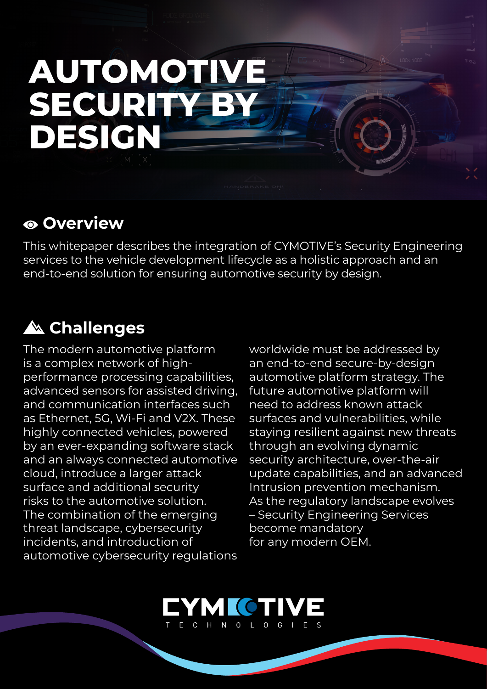## **AUTOMOTIVE BY SECURITY DESIGN**

## **Overview**

This whitepaper describes the integration of CYMOTIVE's Security Engineering services to the vehicle development lifecycle as a holistic approach and an end-to-end solution for ensuring automotive security by design.

## **Challenges**

The modern automotive platform performance processing capabilities, is a complex network of highadvanced sensors for assisted driving, and communication interfaces such as Ethernet, 5G, Wi-Fi and V2X. These highly connected vehicles, powered by an ever-expanding software stack and an always connected automotive cloud, introduce a larger attack surface and additional security risks to the automotive solution. The combination of the emerging threat landscape, cybersecurity incidents, and introduction of automotive cybersecurity regulations

worldwide must be addressed by an end-to-end secure-by-design automotive platform strategy. The future automotive platform will need to address known attack surfaces and vulnerabilities, while staying resilient against new threats through an evolving dynamic security architecture, over-the-air update capabilities, and an advanced Intrusion prevention mechanism. As the regulatory landscape evolves - Security Engineering Services become mandatory for any modern OEM.